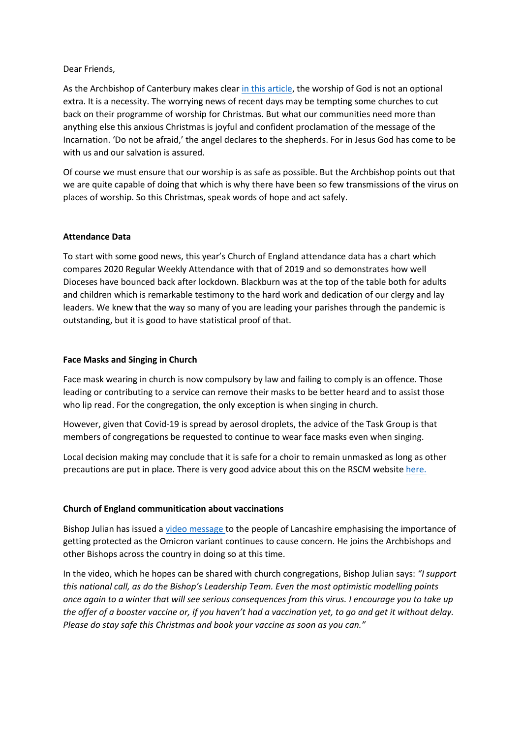## Dear Friends,

As the Archbishop of Canterbury makes clea[r in this article,](https://www.churchtimes.co.uk/articles/2021/17-december/news/uk/welby-go-to-church-for-christmas-unless-guidance-changes?utm_source=Daily+media+digest&utm_campaign=e658678e84-EMAIL_CAMPAIGN_2019_11_27_02_01_COPY_01&utm_medium=email&utm_term=0_296e14724b-e658678e84-248625305&mc_cid=e658678e84&mc_eid=363a8a3f55) the worship of God is not an optional extra. It is a necessity. The worrying news of recent days may be tempting some churches to cut back on their programme of worship for Christmas. But what our communities need more than anything else this anxious Christmas is joyful and confident proclamation of the message of the Incarnation. 'Do not be afraid,' the angel declares to the shepherds. For in Jesus God has come to be with us and our salvation is assured.

Of course we must ensure that our worship is as safe as possible. But the Archbishop points out that we are quite capable of doing that which is why there have been so few transmissions of the virus on places of worship. So this Christmas, speak words of hope and act safely.

## **Attendance Data**

To start with some good news, this year's Church of England attendance data has a chart which compares 2020 Regular Weekly Attendance with that of 2019 and so demonstrates how well Dioceses have bounced back after lockdown. Blackburn was at the top of the table both for adults and children which is remarkable testimony to the hard work and dedication of our clergy and lay leaders. We knew that the way so many of you are leading your parishes through the pandemic is outstanding, but it is good to have statistical proof of that.

### **Face Masks and Singing in Church**

Face mask wearing in church is now compulsory by law and failing to comply is an offence. Those leading or contributing to a service can remove their masks to be better heard and to assist those who lip read. For the congregation, the only exception is when singing in church.

However, given that Covid-19 is spread by aerosol droplets, the advice of the Task Group is that members of congregations be requested to continue to wear face masks even when singing.

Local decision making may conclude that it is safe for a choir to remain unmasked as long as other precautions are put in place. There is very good advice about this on the RSCM website [here.](https://www.rscm.org.uk/covid-19-resources-for-churches/)

## **Church of England communitication about vaccinations**

Bishop Julian has issued a [video message](https://www.youtube.com/watch?v=x5cuyo1wAuM) to the people of Lancashire emphasising the importance of getting protected as the Omicron variant continues to cause concern. He joins the Archbishops and other Bishops across the country in doing so at this time.

In the video, which he hopes can be shared with church congregations, Bishop Julian says: *"I support this national call, as do the Bishop's Leadership Team. Even the most optimistic modelling points once again to a winter that will see serious consequences from this virus. I encourage you to take up the offer of a booster vaccine or, if you haven't had a vaccination yet, to go and get it without delay. Please do stay safe this Christmas and book your vaccine as soon as you can."*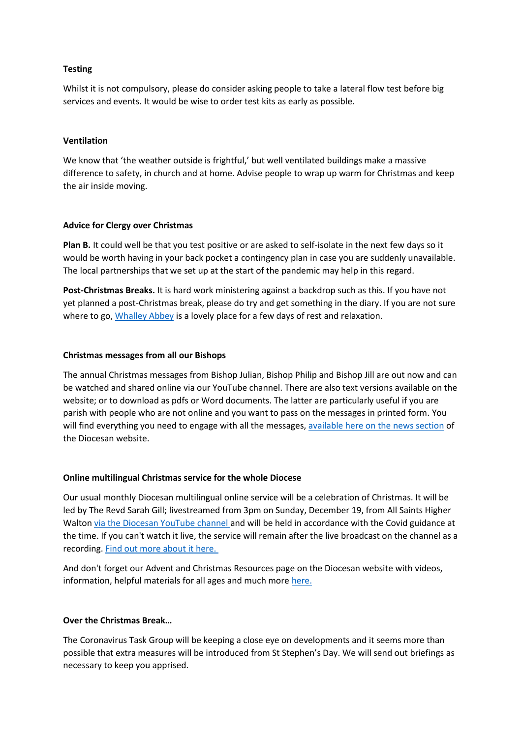## **Testing**

Whilst it is not compulsory, please do consider asking people to take a lateral flow test before big services and events. It would be wise to order test kits as early as possible.

## **Ventilation**

We know that 'the weather outside is frightful,' but well ventilated buildings make a massive difference to safety, in church and at home. Advise people to wrap up warm for Christmas and keep the air inside moving.

### **Advice for Clergy over Christmas**

**Plan B.** It could well be that you test positive or are asked to self-isolate in the next few days so it would be worth having in your back pocket a contingency plan in case you are suddenly unavailable. The local partnerships that we set up at the start of the pandemic may help in this regard.

**Post-Christmas Breaks.** It is hard work ministering against a backdrop such as this. If you have not yet planned a post-Christmas break, please do try and get something in the diary. If you are not sure where to go, [Whalley Abbey](https://www.whalleyabbey.org/) is a lovely place for a few days of rest and relaxation.

### **Christmas messages from all our Bishops**

The annual Christmas messages from Bishop Julian, Bishop Philip and Bishop Jill are out now and can be watched and shared online via our YouTube channel. There are also text versions available on the website; or to download as pdfs or Word documents. The latter are particularly useful if you are parish with people who are not online and you want to pass on the messages in printed form. You will find everything you need to engage with all the messages, [available here on the news section](https://www.blackburn.anglican.org/news) of the Diocesan website.

#### **Online multilingual Christmas service for the whole Diocese**

Our usual monthly Diocesan multilingual online service will be a celebration of Christmas. It will be led by The Revd Sarah Gill; livestreamed from 3pm on Sunday, December 19, from All Saints Higher Walton [via the Diocesan YouTube channel](https://www.youtube.com/channel/UCMZ_3qPsmiiP4-StDmTXrIw) and will be held in accordance with the Covid guidance at the time. If you can't watch it live, the service will remain after the live broadcast on the channel as a recording. [Find out more about it here.](https://www.blackburn.anglican.org/christmas-2021#heading-h2-3)

And don't forget our Advent and Christmas Resources page on the Diocesan website with videos, information, helpful materials for all ages and much mor[e here.](https://www.blackburn.anglican.org/christmas-2021)

### **Over the Christmas Break…**

The Coronavirus Task Group will be keeping a close eye on developments and it seems more than possible that extra measures will be introduced from St Stephen's Day. We will send out briefings as necessary to keep you apprised.